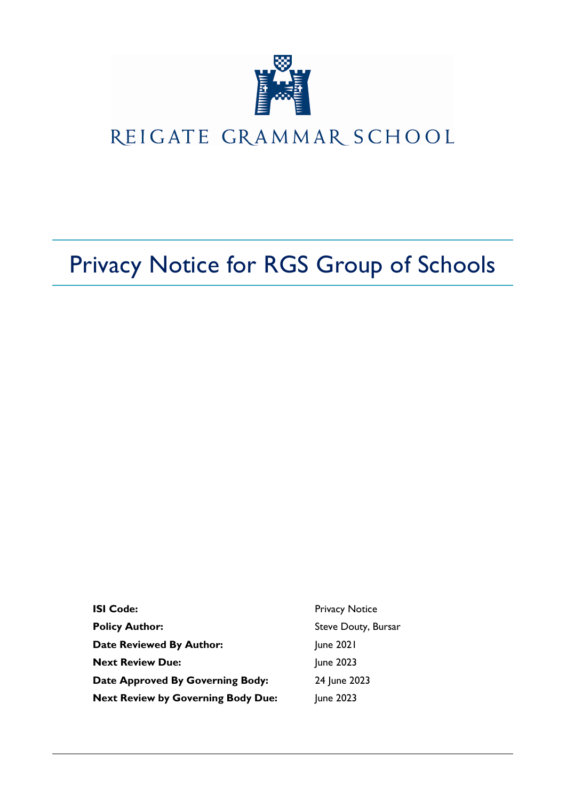

## REIGATE GRAMMAR SCHOOL

# Privacy Notice for RGS Group of Schools

| <b>ISI Code:</b>                          | <b>Privacy Notice</b> |
|-------------------------------------------|-----------------------|
| <b>Policy Author:</b>                     | Steve Douty, Bursar   |
| <b>Date Reviewed By Author:</b>           | June 2021             |
| <b>Next Review Due:</b>                   | June 2023             |
| Date Approved By Governing Body:          | 24 June 2023          |
| <b>Next Review by Governing Body Due:</b> | June 2023             |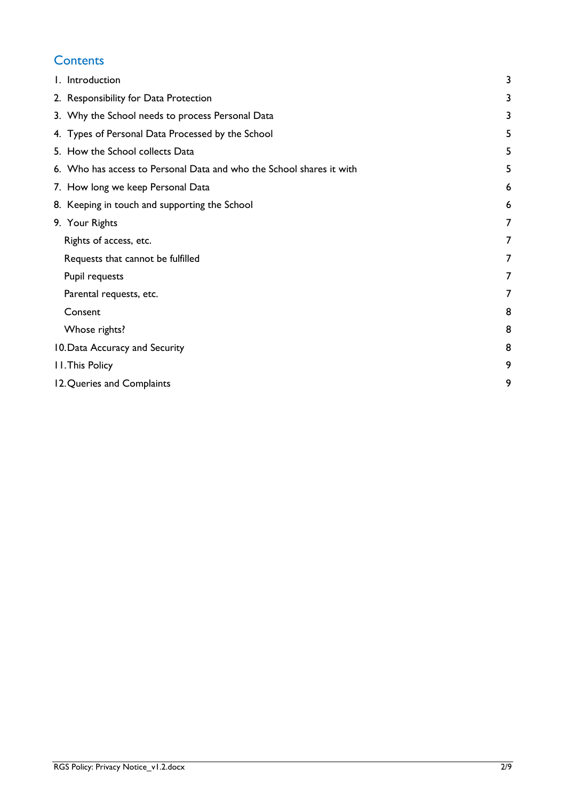## **Contents**

| I. Introduction                                                      | 3 |
|----------------------------------------------------------------------|---|
| 2. Responsibility for Data Protection                                | 3 |
| 3. Why the School needs to process Personal Data                     | 3 |
| 4. Types of Personal Data Processed by the School                    | 5 |
| 5. How the School collects Data                                      | 5 |
| 6. Who has access to Personal Data and who the School shares it with | 5 |
| 7. How long we keep Personal Data                                    | 6 |
| 8. Keeping in touch and supporting the School                        | 6 |
| 9. Your Rights                                                       | 7 |
| Rights of access, etc.                                               | 7 |
| Requests that cannot be fulfilled                                    | 7 |
| Pupil requests                                                       | 7 |
| Parental requests, etc.                                              | 7 |
| Consent                                                              | 8 |
| Whose rights?                                                        | 8 |
| 10. Data Accuracy and Security                                       | 8 |
| <b>II. This Policy</b>                                               | 9 |
| 12. Queries and Complaints                                           | 9 |
|                                                                      |   |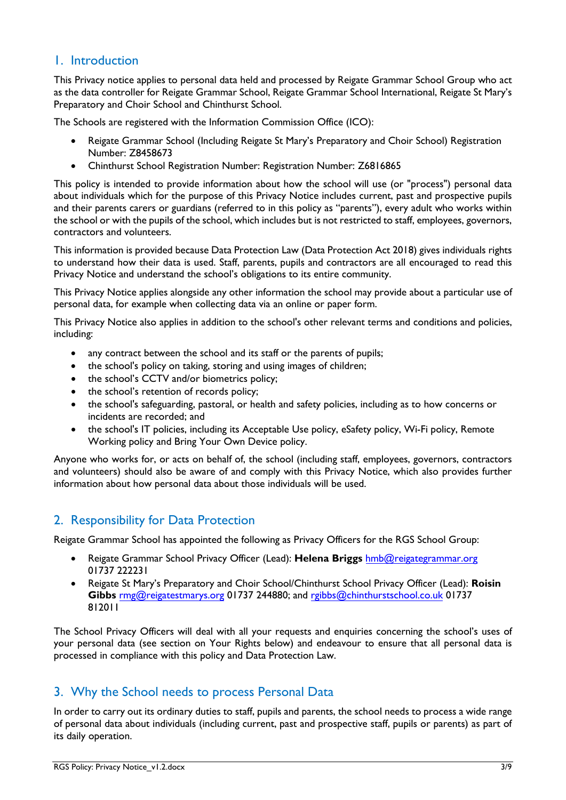#### <span id="page-2-0"></span>1. Introduction

This Privacy notice applies to personal data held and processed by Reigate Grammar School Group who act as the data controller for Reigate Grammar School, Reigate Grammar School International, Reigate St Mary's Preparatory and Choir School and Chinthurst School.

The Schools are registered with the Information Commission Office (ICO):

- Reigate Grammar School (Including Reigate St Mary's Preparatory and Choir School) Registration Number: Z8458673
- Chinthurst School Registration Number: Registration Number: Z6816865

This policy is intended to provide information about how the school will use (or "process") personal data about individuals which for the purpose of this Privacy Notice includes current, past and prospective pupils and their parents carers or guardians (referred to in this policy as "parents"), every adult who works within the school or with the pupils of the school, which includes but is not restricted to staff, employees, governors, contractors and volunteers.

This information is provided because Data Protection Law (Data Protection Act 2018) gives individuals rights to understand how their data is used. Staff, parents, pupils and contractors are all encouraged to read this Privacy Notice and understand the school's obligations to its entire community.

This Privacy Notice applies alongside any other information the school may provide about a particular use of personal data, for example when collecting data via an online or paper form.

This Privacy Notice also applies in addition to the school's other relevant terms and conditions and policies, including:

- any contract between the school and its staff or the parents of pupils;
- the school's policy on taking, storing and using images of children;
- the school's CCTV and/or biometrics policy;
- the school's retention of records policy;
- the school's safeguarding, pastoral, or health and safety policies, including as to how concerns or incidents are recorded; and
- the school's IT policies, including its Acceptable Use policy, eSafety policy, Wi-Fi policy, Remote Working policy and Bring Your Own Device policy.

Anyone who works for, or acts on behalf of, the school (including staff, employees, governors, contractors and volunteers) should also be aware of and comply with this Privacy Notice, which also provides further information about how personal data about those individuals will be used.

## <span id="page-2-1"></span>2. Responsibility for Data Protection

Reigate Grammar School has appointed the following as Privacy Officers for the RGS School Group:

- Reigate Grammar School Privacy Officer (Lead): **Helena Briggs** hmb[@reigategrammar.or](mailto:lou@reigategrammar.org)g 01737 222231
- Reigate St Mary's Preparatory and Choir School/Chinthurst School Privacy Officer (Lead): **Roisin Gibbs** [rmg@reigatestmar](mailto:rmg@reigatestmarys.org)ys.org 01737 244880; and [rgibbs@chinthurstschoo](mailto:rgibbs@chinthurstschool.co.uk)l.co.uk 01737 812011

<span id="page-2-2"></span>The School Privacy Officers will deal with all your requests and enquiries concerning the school's uses of your personal data (see section on Your Rights below) and endeavour to ensure that all personal data is processed in compliance with this policy and Data Protection Law.

#### 3. Why the School needs to process Personal Data

In order to carry out its ordinary duties to staff, pupils and parents, the school needs to process a wide range of personal data about individuals (including current, past and prospective staff, pupils or parents) as part of its daily operation.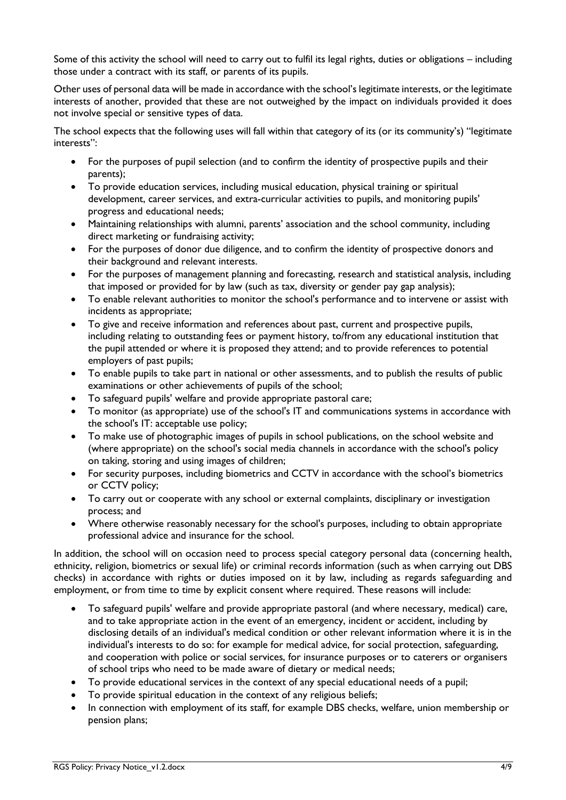Some of this activity the school will need to carry out to fulfil its legal rights, duties or obligations – including those under a contract with its staff, or parents of its pupils.

Other uses of personal data will be made in accordance with the school's legitimate interests, or the legitimate interests of another, provided that these are not outweighed by the impact on individuals provided it does not involve special or sensitive types of data.

The school expects that the following uses will fall within that category of its (or its community's) "legitimate interests":

- For the purposes of pupil selection (and to confirm the identity of prospective pupils and their parents);
- To provide education services, including musical education, physical training or spiritual development, career services, and extra-curricular activities to pupils, and monitoring pupils' progress and educational needs;
- Maintaining relationships with alumni, parents' association and the school community, including direct marketing or fundraising activity;
- For the purposes of donor due diligence, and to confirm the identity of prospective donors and their background and relevant interests.
- For the purposes of management planning and forecasting, research and statistical analysis, including that imposed or provided for by law (such as tax, diversity or gender pay gap analysis);
- To enable relevant authorities to monitor the school's performance and to intervene or assist with incidents as appropriate;
- To give and receive information and references about past, current and prospective pupils, including relating to outstanding fees or payment history, to/from any educational institution that the pupil attended or where it is proposed they attend; and to provide references to potential employers of past pupils;
- To enable pupils to take part in national or other assessments, and to publish the results of public examinations or other achievements of pupils of the school;
- To safeguard pupils' welfare and provide appropriate pastoral care;
- To monitor (as appropriate) use of the school's IT and communications systems in accordance with the school's IT: acceptable use policy;
- To make use of photographic images of pupils in school publications, on the school website and (where appropriate) on the school's social media channels in accordance with the school's policy on taking, storing and using images of children;
- For security purposes, including biometrics and CCTV in accordance with the school's biometrics or CCTV policy;
- To carry out or cooperate with any school or external complaints, disciplinary or investigation process; and
- Where otherwise reasonably necessary for the school's purposes, including to obtain appropriate professional advice and insurance for the school.

In addition, the school will on occasion need to process special category personal data (concerning health, ethnicity, religion, biometrics or sexual life) or criminal records information (such as when carrying out DBS checks) in accordance with rights or duties imposed on it by law, including as regards safeguarding and employment, or from time to time by explicit consent where required. These reasons will include:

- To safeguard pupils' welfare and provide appropriate pastoral (and where necessary, medical) care, and to take appropriate action in the event of an emergency, incident or accident, including by disclosing details of an individual's medical condition or other relevant information where it is in the individual's interests to do so: for example for medical advice, for social protection, safeguarding, and cooperation with police or social services, for insurance purposes or to caterers or organisers of school trips who need to be made aware of dietary or medical needs;
- To provide educational services in the context of any special educational needs of a pupil;
- To provide spiritual education in the context of any religious beliefs;
- In connection with employment of its staff, for example DBS checks, welfare, union membership or pension plans;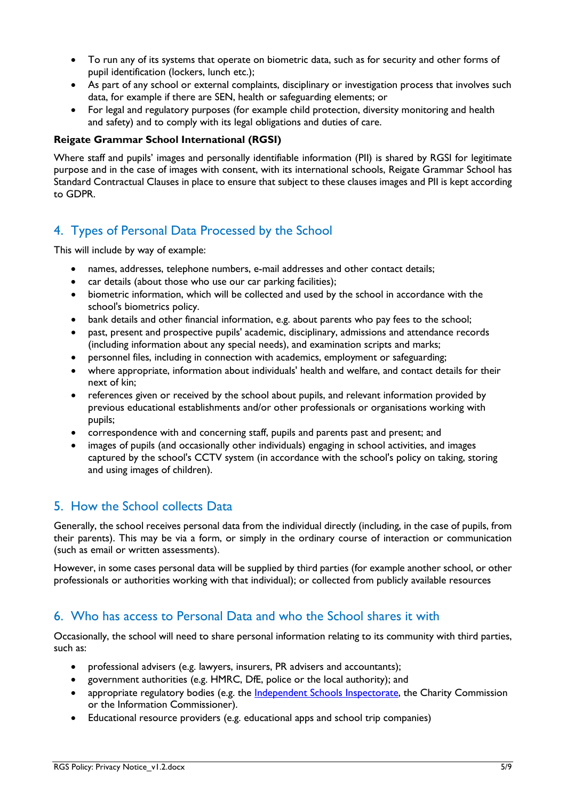- To run any of its systems that operate on biometric data, such as for security and other forms of pupil identification (lockers, lunch etc.);
- As part of any school or external complaints, disciplinary or investigation process that involves such data, for example if there are SEN, health or safeguarding elements; or
- For legal and regulatory purposes (for example child protection, diversity monitoring and health and safety) and to comply with its legal obligations and duties of care.

#### **Reigate Grammar School International (RGSI)**

Where staff and pupils' images and personally identifiable information (PII) is shared by RGSI for legitimate purpose and in the case of images with consent, with its international schools, Reigate Grammar School has Standard Contractual Clauses in place to ensure that subject to these clauses images and PII is kept according to GDPR.

## <span id="page-4-0"></span>4. Types of Personal Data Processed by the School

This will include by way of example:

- names, addresses, telephone numbers, e-mail addresses and other contact details;
- car details (about those who use our car parking facilities);
- biometric information, which will be collected and used by the school in accordance with the school's biometrics policy.
- bank details and other financial information, e.g. about parents who pay fees to the school;
- past, present and prospective pupils' academic, disciplinary, admissions and attendance records (including information about any special needs), and examination scripts and marks;
- personnel files, including in connection with academics, employment or safeguarding;
- where appropriate, information about individuals' health and welfare, and contact details for their next of kin;
- references given or received by the school about pupils, and relevant information provided by previous educational establishments and/or other professionals or organisations working with pupils;
- correspondence with and concerning staff, pupils and parents past and present; and
- images of pupils (and occasionally other individuals) engaging in school activities, and images captured by the school's CCTV system (in accordance with the school's policy on taking, storing and using images of children).

## <span id="page-4-1"></span>5. How the School collects Data

Generally, the school receives personal data from the individual directly (including, in the case of pupils, from their parents). This may be via a form, or simply in the ordinary course of interaction or communication (such as email or written assessments).

However, in some cases personal data will be supplied by third parties (for example another school, or other professionals or authorities working with that individual); or collected from publicly available resources

#### <span id="page-4-2"></span>6. Who has access to Personal Data and who the School shares it with

Occasionally, the school will need to share personal information relating to its community with third parties, such as:

- professional advisers (e.g. lawyers, insurers, PR advisers and accountants);
- government authorities (e.g. HMRC, DfE, police or the local authority); and
- appropriate regulatory bodies (e.g. the [Independent Schools Inspectorate,](https://www.isi.net/) the Charity Commission or the Information Commissioner).
- Educational resource providers (e.g. educational apps and school trip companies)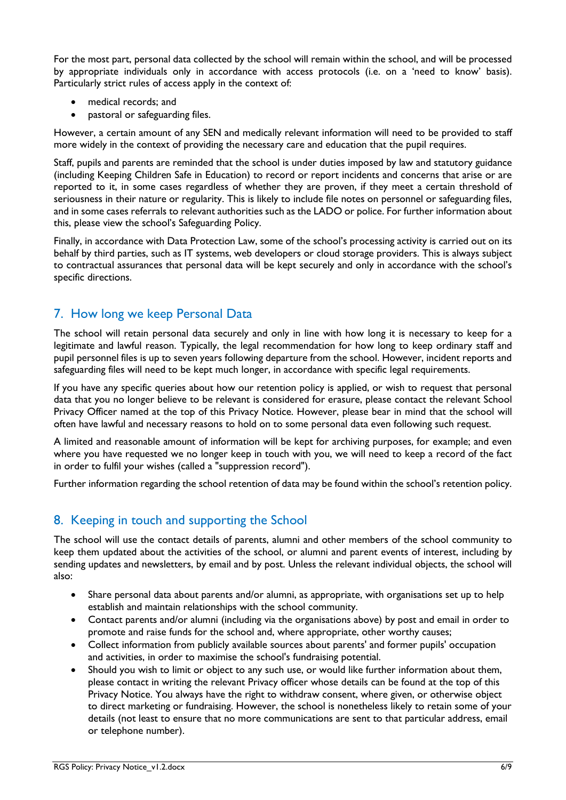For the most part, personal data collected by the school will remain within the school, and will be processed by appropriate individuals only in accordance with access protocols (i.e. on a 'need to know' basis). Particularly strict rules of access apply in the context of:

- medical records; and
- pastoral or safeguarding files.

However, a certain amount of any SEN and medically relevant information will need to be provided to staff more widely in the context of providing the necessary care and education that the pupil requires.

Staff, pupils and parents are reminded that the school is under duties imposed by law and statutory guidance (including Keeping Children Safe in Education) to record or report incidents and concerns that arise or are reported to it, in some cases regardless of whether they are proven, if they meet a certain threshold of seriousness in their nature or regularity. This is likely to include file notes on personnel or safeguarding files, and in some cases referrals to relevant authorities such as the LADO or police. For further information about this, please view the school's Safeguarding Policy.

Finally, in accordance with Data Protection Law, some of the school's processing activity is carried out on its behalf by third parties, such as IT systems, web developers or cloud storage providers. This is always subject to contractual assurances that personal data will be kept securely and only in accordance with the school's specific directions.

## <span id="page-5-0"></span>7. How long we keep Personal Data

The school will retain personal data securely and only in line with how long it is necessary to keep for a legitimate and lawful reason. Typically, the legal recommendation for how long to keep ordinary staff and pupil personnel files is up to seven years following departure from the school. However, incident reports and safeguarding files will need to be kept much longer, in accordance with specific legal requirements.

If you have any specific queries about how our retention policy is applied, or wish to request that personal data that you no longer believe to be relevant is considered for erasure, please contact the relevant School Privacy Officer named at the top of this Privacy Notice. However, please bear in mind that the school will often have lawful and necessary reasons to hold on to some personal data even following such request.

A limited and reasonable amount of information will be kept for archiving purposes, for example; and even where you have requested we no longer keep in touch with you, we will need to keep a record of the fact in order to fulfil your wishes (called a "suppression record").

Further information regarding the school retention of data may be found within the school's retention policy.

## <span id="page-5-1"></span>8. Keeping in touch and supporting the School

The school will use the contact details of parents, alumni and other members of the school community to keep them updated about the activities of the school, or alumni and parent events of interest, including by sending updates and newsletters, by email and by post. Unless the relevant individual objects, the school will also:

- Share personal data about parents and/or alumni, as appropriate, with organisations set up to help establish and maintain relationships with the school community.
- Contact parents and/or alumni (including via the organisations above) by post and email in order to promote and raise funds for the school and, where appropriate, other worthy causes;
- Collect information from publicly available sources about parents' and former pupils' occupation and activities, in order to maximise the school's fundraising potential.
- Should you wish to limit or object to any such use, or would like further information about them, please contact in writing the relevant Privacy officer whose details can be found at the top of this Privacy Notice. You always have the right to withdraw consent, where given, or otherwise object to direct marketing or fundraising. However, the school is nonetheless likely to retain some of your details (not least to ensure that no more communications are sent to that particular address, email or telephone number).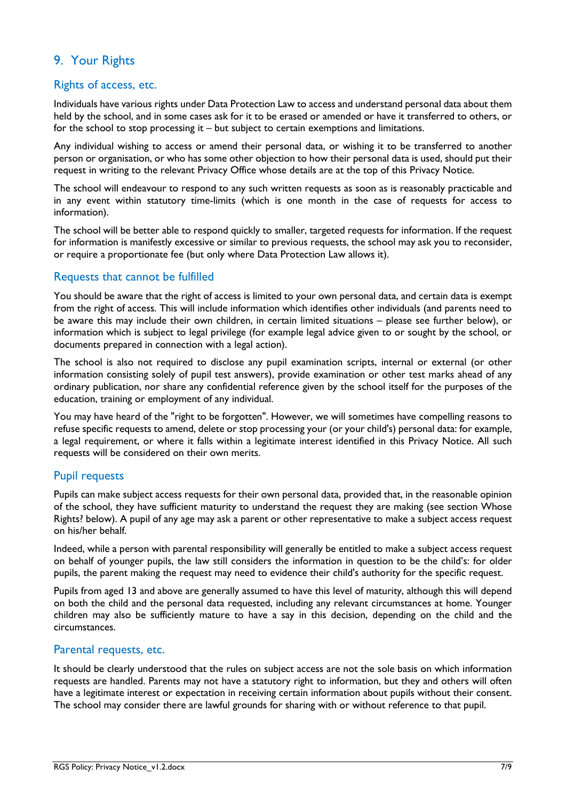## <span id="page-6-0"></span>9. Your Rights

#### <span id="page-6-1"></span>Rights of access, etc.

Individuals have various rights under Data Protection Law to access and understand personal data about them held by the school, and in some cases ask for it to be erased or amended or have it transferred to others, or for the school to stop processing it – but subject to certain exemptions and limitations.

Any individual wishing to access or amend their personal data, or wishing it to be transferred to another person or organisation, or who has some other objection to how their personal data is used, should put their request in writing to the relevant Privacy Office whose details are at the top of this Privacy Notice.

The school will endeavour to respond to any such written requests as soon as is reasonably practicable and in any event within statutory time-limits (which is one month in the case of requests for access to information).

The school will be better able to respond quickly to smaller, targeted requests for information. If the request for information is manifestly excessive or similar to previous requests, the school may ask you to reconsider, or require a proportionate fee (but only where Data Protection Law allows it).

#### <span id="page-6-2"></span>Requests that cannot be fulfilled

You should be aware that the right of access is limited to your own personal data, and certain data is exempt from the right of access. This will include information which identifies other individuals (and parents need to be aware this may include their own children, in certain limited situations – please see further below), or information which is subject to legal privilege (for example legal advice given to or sought by the school, or documents prepared in connection with a legal action).

The school is also not required to disclose any pupil examination scripts, internal or external (or other information consisting solely of pupil test answers), provide examination or other test marks ahead of any ordinary publication, nor share any confidential reference given by the school itself for the purposes of the education, training or employment of any individual.

You may have heard of the "right to be forgotten". However, we will sometimes have compelling reasons to refuse specific requests to amend, delete or stop processing your (or your child's) personal data: for example, a legal requirement, or where it falls within a legitimate interest identified in this Privacy Notice. All such requests will be considered on their own merits.

#### <span id="page-6-3"></span>Pupil requests

Pupils can make subject access requests for their own personal data, provided that, in the reasonable opinion of the school, they have sufficient maturity to understand the request they are making (see section Whose Rights? below). A pupil of any age may ask a parent or other representative to make a subject access request on his/her behalf.

Indeed, while a person with parental responsibility will generally be entitled to make a subject access request on behalf of younger pupils, the law still considers the information in question to be the child's: for older pupils, the parent making the request may need to evidence their child's authority for the specific request.

Pupils from aged 13 and above are generally assumed to have this level of maturity, although this will depend on both the child and the personal data requested, including any relevant circumstances at home. Younger children may also be sufficiently mature to have a say in this decision, depending on the child and the circumstances.

#### <span id="page-6-4"></span>Parental requests, etc.

It should be clearly understood that the rules on subject access are not the sole basis on which information requests are handled. Parents may not have a statutory right to information, but they and others will often have a legitimate interest or expectation in receiving certain information about pupils without their consent. The school may consider there are lawful grounds for sharing with or without reference to that pupil.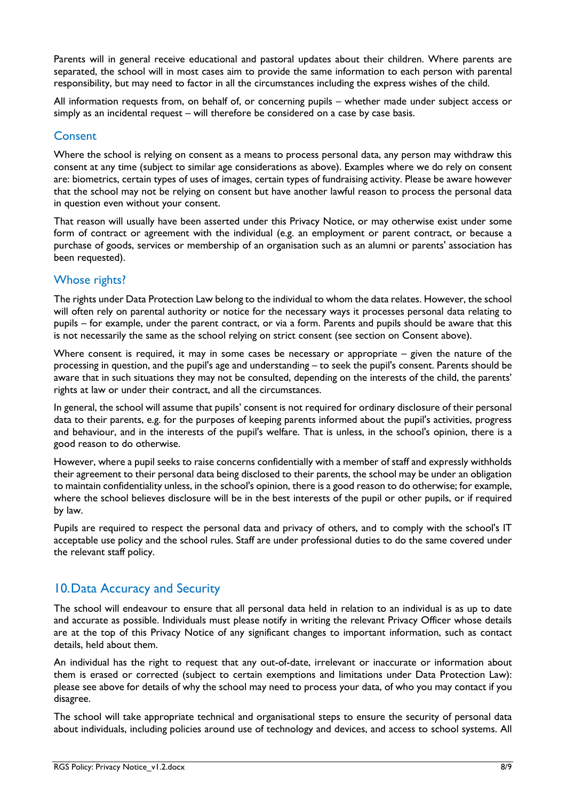Parents will in general receive educational and pastoral updates about their children. Where parents are separated, the school will in most cases aim to provide the same information to each person with parental responsibility, but may need to factor in all the circumstances including the express wishes of the child.

All information requests from, on behalf of, or concerning pupils – whether made under subject access or simply as an incidental request – will therefore be considered on a case by case basis.

#### <span id="page-7-0"></span>**Consent**

Where the school is relying on consent as a means to process personal data, any person may withdraw this consent at any time (subject to similar age considerations as above). Examples where we do rely on consent are: biometrics, certain types of uses of images, certain types of fundraising activity. Please be aware however that the school may not be relying on consent but have another lawful reason to process the personal data in question even without your consent.

That reason will usually have been asserted under this Privacy Notice, or may otherwise exist under some form of contract or agreement with the individual (e.g. an employment or parent contract, or because a purchase of goods, services or membership of an organisation such as an alumni or parents' association has been requested).

#### <span id="page-7-1"></span>Whose rights?

The rights under Data Protection Law belong to the individual to whom the data relates. However, the school will often rely on parental authority or notice for the necessary ways it processes personal data relating to pupils – for example, under the parent contract, or via a form. Parents and pupils should be aware that this is not necessarily the same as the school relying on strict consent (see section on Consent above).

Where consent is required, it may in some cases be necessary or appropriate – given the nature of the processing in question, and the pupil's age and understanding – to seek the pupil's consent. Parents should be aware that in such situations they may not be consulted, depending on the interests of the child, the parents' rights at law or under their contract, and all the circumstances.

In general, the school will assume that pupils' consent is not required for ordinary disclosure of their personal data to their parents, e.g. for the purposes of keeping parents informed about the pupil's activities, progress and behaviour, and in the interests of the pupil's welfare. That is unless, in the school's opinion, there is a good reason to do otherwise.

However, where a pupil seeks to raise concerns confidentially with a member of staff and expressly withholds their agreement to their personal data being disclosed to their parents, the school may be under an obligation to maintain confidentiality unless, in the school's opinion, there is a good reason to do otherwise; for example, where the school believes disclosure will be in the best interests of the pupil or other pupils, or if required by law.

Pupils are required to respect the personal data and privacy of others, and to comply with the school's IT acceptable use policy and the school rules. Staff are under professional duties to do the same covered under the relevant staff policy.

#### <span id="page-7-2"></span>10.Data Accuracy and Security

The school will endeavour to ensure that all personal data held in relation to an individual is as up to date and accurate as possible. Individuals must please notify in writing the relevant Privacy Officer whose details are at the top of this Privacy Notice of any significant changes to important information, such as contact details, held about them.

An individual has the right to request that any out-of-date, irrelevant or inaccurate or information about them is erased or corrected (subject to certain exemptions and limitations under Data Protection Law): please see above for details of why the school may need to process your data, of who you may contact if you disagree.

The school will take appropriate technical and organisational steps to ensure the security of personal data about individuals, including policies around use of technology and devices, and access to school systems. All